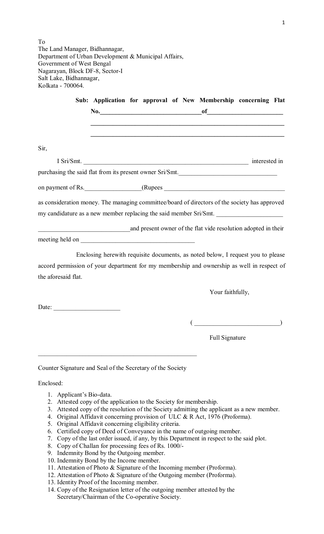To The Land Manager, Bidhannagar, Department of Urban Development & Municipal Affairs, Government of West Bengal Nagarayan, Block DF-8, Sector-I Salt Lake, Bidhannagar, Kolkata - 700064.

|                                                                                               | Sub: Application for approval of New Membership concerning Flat                 |  |                  |                                                                     |  |
|-----------------------------------------------------------------------------------------------|---------------------------------------------------------------------------------|--|------------------|---------------------------------------------------------------------|--|
|                                                                                               |                                                                                 |  |                  |                                                                     |  |
|                                                                                               |                                                                                 |  |                  |                                                                     |  |
|                                                                                               |                                                                                 |  |                  |                                                                     |  |
| Sir,                                                                                          |                                                                                 |  |                  |                                                                     |  |
|                                                                                               | I Sri/Smt. interested in                                                        |  |                  |                                                                     |  |
| purchasing the said flat from its present owner Sri/Smt.                                      |                                                                                 |  |                  |                                                                     |  |
|                                                                                               |                                                                                 |  |                  |                                                                     |  |
| as consideration money. The managing committee/board of directors of the society has approved |                                                                                 |  |                  |                                                                     |  |
| my candidature as a new member replacing the said member Sri/Smt.                             |                                                                                 |  |                  |                                                                     |  |
| and present owner of the flat vide resolution adopted in their                                |                                                                                 |  |                  |                                                                     |  |
|                                                                                               |                                                                                 |  |                  |                                                                     |  |
|                                                                                               | Enclosing herewith requisite documents, as noted below, I request you to please |  |                  |                                                                     |  |
| accord permission of your department for my membership and ownership as well in respect of    |                                                                                 |  |                  |                                                                     |  |
| the aforesaid flat.                                                                           |                                                                                 |  |                  |                                                                     |  |
|                                                                                               |                                                                                 |  | Your faithfully, |                                                                     |  |
|                                                                                               |                                                                                 |  |                  |                                                                     |  |
| Date: $\frac{1}{\sqrt{1-\frac{1}{2}}}\left  \frac{1}{2} \right  \frac{1}{2}$                  |                                                                                 |  |                  |                                                                     |  |
|                                                                                               |                                                                                 |  |                  | $\begin{pmatrix} 1 & 1 & 1 \\ 0 & 1 & 1 \\ 0 & 0 & 1 \end{pmatrix}$ |  |
|                                                                                               |                                                                                 |  | Full Signature   |                                                                     |  |
|                                                                                               |                                                                                 |  |                  |                                                                     |  |

Counter Signature and Seal of the Secretary of the Society

Enclosed:

- 1. Applicant's Bio-data.
- 2. Attested copy of the application to the Society for membership.
- 3. Attested copy of the resolution of the Society admitting the applicant as a new member.
- 4. Original Affidavit concerning provision of ULC & R Act, 1976 (Proforma).
- 5. Original Affidavit concerning eligibility criteria.
- 6. Certified copy of Deed of Conveyance in the name of outgoing member.
- 7. Copy of the last order issued, if any, by this Department in respect to the said plot.
- 8. Copy of Challan for processing fees of Rs. 1000/-
- 9. Indemnity Bond by the Outgoing member.
- 10. Indemnity Bond by the Income member.
- 11. Attestation of Photo & Signature of the Incoming member (Proforma).
- 12. Attestation of Photo & Signature of the Outgoing member (Proforma).
- 13. Identity Proof of the Incoming member.
- 14. Copy of the Resignation letter of the outgoing member attested by the Secretary/Chairman of the Co-operative Society.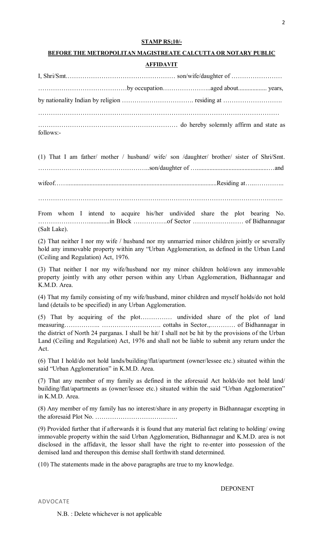#### **STAMP RS;10/-**

## **BEFORE THE METROPOLITAN MAGISTREATE CALCUTTA OR NOTARY PUBLIC**

# **AFFIDAVIT**

| follows:- |  |  |  |  |
|-----------|--|--|--|--|

(1) That I am father/ mother / husband/ wife/ son /daughter/ brother/ sister of Shri/Smt. ……………………………………………..son/daughter of ….............................................…and wifeof……..............................................................................................Residing at…..………….. ……………………………………………………………………………………………………..

From whom I intend to acquire his/her undivided share the plot bearing No. …………………….............in Block …………….of Sector …………………… of Bidhannagar (Salt Lake).

(2) That neither I nor my wife / husband nor my unmarried minor children jointly or severally hold any immovable property within any "Urban Agglomeration, as defined in the Urban Land (Ceiling and Regulation) Act, 1976.

(3) That neither I nor my wife/husband nor my minor children hold/own any immovable property jointly with any other person within any Urban Agglomeration, Bidhannagar and K.M.D. Area.

(4) That my family consisting of my wife/husband, minor children and myself holds/do not hold land (details to be specified) in any Urban Agglomeration.

(5) That by acquiring of the plot…………… undivided share of the plot of land measuring…………….. ………………………. cottahs in Sector.,………… of Bidhannagar in the district of North 24 parganas. I shall be hit/ I shall not be hit by the provisions of the Urban Land (Ceiling and Regulation) Act, 1976 and shall not be liable to submit any return under the Act.

(6) That I hold/do not hold lands/building/flat/apartment (owner/lessee etc.) situated within the said "Urban Agglomeration" in K.M.D. Area.

(7) That any member of my family as defined in the aforesaid Act holds/do not hold land/ building/flat/apartments as (owner/lessee etc.) situated within the said "Urban Agglomeration" in K.M.D. Area.

(8) Any member of my family has no interest/share in any property in Bidhannagar excepting in the aforesaid Plot No. …………………………………

(9) Provided further that if afterwards it is found that any material fact relating to holding/ owing immovable property within the said Urban Agglomeration, Bidhannagar and K.M.D. area is not disclosed in the affidavit, the lessor shall have the right to re-enter into possession of the demised land and thereupon this demise shall forthwith stand determined.

(10) The statements made in the above paragraphs are true to my knowledge.

DEPONENT

ADVOCATE

N.B. : Delete whichever is not applicable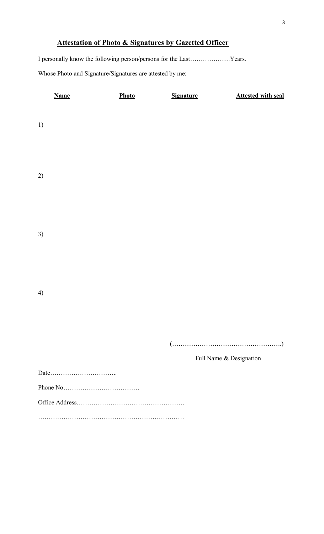# **Attestation of Photo & Signatures by Gazetted Officer**

I personally know the following person/persons for the Last……………….Years. Whose Photo and Signature/Signatures are attested by me:

|    | <b>Name</b> | Photo | <b>Signature</b>                                                                                             | <b>Attested with seal</b> |
|----|-------------|-------|--------------------------------------------------------------------------------------------------------------|---------------------------|
| 1) |             |       |                                                                                                              |                           |
| 2) |             |       |                                                                                                              |                           |
| 3) |             |       |                                                                                                              |                           |
| 4) |             |       |                                                                                                              |                           |
|    |             |       | $(\ldots,\ldots,\ldots,\ldots,\ldots,\ldots,\ldots,\ldots,\ldots,\ldots,\ldots))$<br>Full Name & Designation |                           |
|    |             |       |                                                                                                              |                           |
|    |             |       |                                                                                                              |                           |
|    |             |       |                                                                                                              |                           |
|    |             |       |                                                                                                              |                           |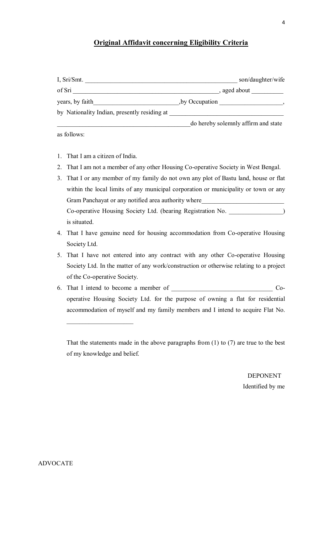# **Original Affidavit concerning Eligibility Criteria**

| I, Sri/Smt.                                  |                                     | son/daughter/wife |
|----------------------------------------------|-------------------------------------|-------------------|
| of Sri                                       | , aged about                        |                   |
| years, by faith                              | by Occupation,                      |                   |
| by Nationality Indian, presently residing at |                                     |                   |
|                                              | do hereby solemnly affirm and state |                   |

as follows:

1. That I am a citizen of India.

 $\overline{\phantom{a}}$  , and the set of the set of the set of the set of the set of the set of the set of the set of the set of the set of the set of the set of the set of the set of the set of the set of the set of the set of the s

- 2. That I am not a member of any other Housing Co-operative Society in West Bengal.
- 3. That I or any member of my family do not own any plot of Bastu land, house or flat within the local limits of any municipal corporation or municipality or town or any Gram Panchayat or any notified area authority where Co-operative Housing Society Ltd. (bearing Registration No.  $\qquad \qquad$  ) is situated.
- 4. That I have genuine need for housing accommodation from Co-operative Housing Society Ltd.
- 5. That I have not entered into any contract with any other Co-operative Housing Society Ltd. In the matter of any work/construction or otherwise relating to a project of the Co-operative Society.
- 6. That I intend to become a member of Cooperative Housing Society Ltd. for the purpose of owning a flat for residential accommodation of myself and my family members and I intend to acquire Flat No.

That the statements made in the above paragraphs from (1) to (7) are true to the best of my knowledge and belief.

> DEPONENT Identified by me

ADVOCATE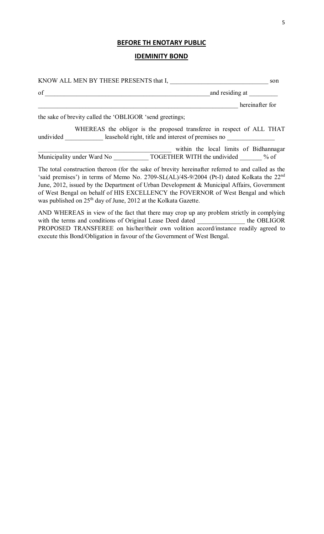# **BEFORE TH ENOTARY PUBLIC**

# **IDEMINITY BOND**

| KNOW ALL MEN BY THESE PRESENTS that I,                   |                                                                                                                                                                                                                                                                                                      | son             |
|----------------------------------------------------------|------------------------------------------------------------------------------------------------------------------------------------------------------------------------------------------------------------------------------------------------------------------------------------------------------|-----------------|
| of                                                       | and residing at                                                                                                                                                                                                                                                                                      |                 |
|                                                          |                                                                                                                                                                                                                                                                                                      | hereinafter for |
| the sake of brevity called the 'OBLIGOR 'send greetings; |                                                                                                                                                                                                                                                                                                      |                 |
|                                                          | WHEREAS the obligor is the proposed transferee in respect of ALL THAT<br>undivided leasehold right, title and interest of premises no                                                                                                                                                                |                 |
|                                                          | within the local limits of Bidhannagar                                                                                                                                                                                                                                                               |                 |
|                                                          | Municipality under Ward No <b>TOGETHER WITH</b> the undivided % of                                                                                                                                                                                                                                   |                 |
|                                                          | The total construction thereon (for the sake of brevity hereinafter referred to and called as the<br>'said premises') in terms of Memo No. 2709-SL(AL)/4S-9/2004 (Pt-I) dated Kolkata the 22 <sup>nd</sup><br>Iune 2012 issued by the Department of Urban Development & Municipal Affairs Government |                 |

'said premises') in terms of Memo No. 2709-SL(AL)/4S-9/2004 (Pt-I) dated Kolkata the 22<sup>nd</sup> June, 2012, issued by the Department of Urban Development & Municipal Affairs, Government of West Bengal on behalf of HIS EXCELLENCY the FOVERNOR of West Bengal and which was published on 25<sup>th</sup> day of June, 2012 at the Kolkata Gazette.

AND WHEREAS in view of the fact that there may crop up any problem strictly in complying with the terms and conditions of Original Lease Deed dated \_\_\_\_\_\_\_\_\_\_\_\_\_\_\_ the OBLIGOR PROPOSED TRANSFEREE on his/her/their own volition accord/instance readily agreed to execute this Bond/Obligation in favour of the Government of West Bengal.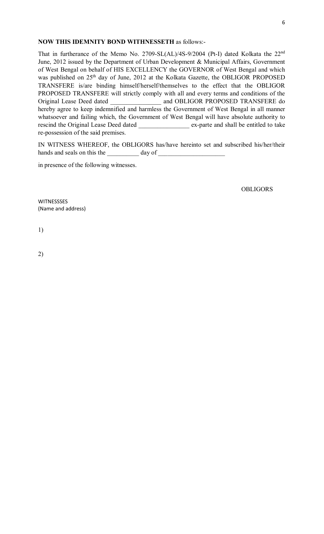# **NOW THIS IDEMNITY BOND WITHNESSETH** as follows:-

That in furtherance of the Memo No. 2709-SL(AL)/4S-9/2004 (Pt-I) dated Kolkata the 22<sup>nd</sup> June, 2012 issued by the Department of Urban Development & Municipal Affairs, Government of West Bengal on behalf of HIS EXCELLENCY the GOVERNOR of West Bengal and which was published on 25<sup>th</sup> day of June, 2012 at the Kolkata Gazette, the OBLIGOR PROPOSED TRANSFERE is/are binding himself/herself/themselves to the effect that the OBLIGOR PROPOSED TRANSFERE will strictly comply with all and every terms and conditions of the Original Lease Deed dated \_\_\_\_\_\_\_\_\_\_\_\_\_\_\_\_ and OBLIGOR PROPOSED TRANSFERE do hereby agree to keep indemnified and harmless the Government of West Bengal in all manner whatsoever and failing which, the Government of West Bengal will have absolute authority to rescind the Original Lease Deed dated \_\_\_\_\_\_\_\_\_\_\_\_\_\_\_\_ ex-parte and shall be entitled to take re-possession of the said premises.

IN WITNESS WHEREOF, the OBLIGORS has/have hereinto set and subscribed his/her/their hands and seals on this the \_\_\_\_\_\_\_\_\_\_\_\_\_\_ day of \_\_\_\_\_\_\_\_\_\_\_\_\_\_\_\_\_\_\_\_\_\_\_\_\_\_\_\_\_\_\_

in presence of the following witnesses.

**OBLIGORS** 

**WITNESSSES** (Name and address)

1)

2)